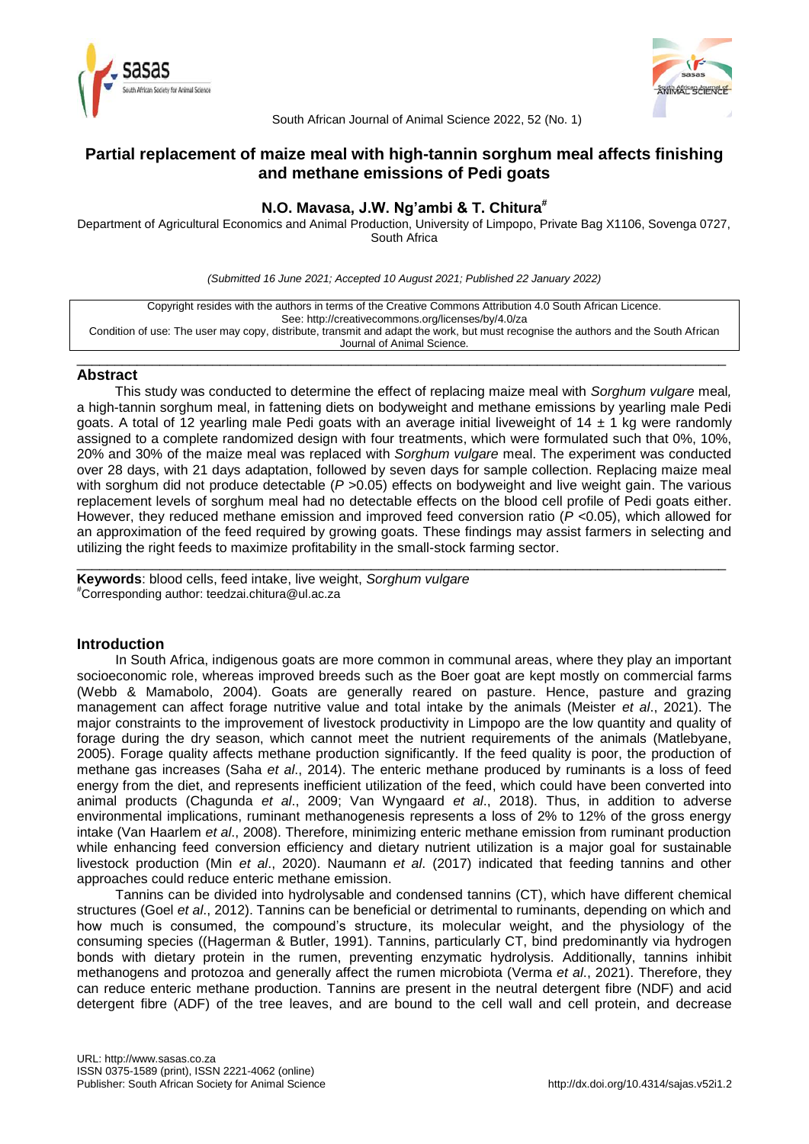



South African Journal of Animal Science 2022, 52 (No. 1)

# **Partial replacement of maize meal with high-tannin sorghum meal affects finishing and methane emissions of Pedi goats**

# **N.O. Mavasa, J.W. Ng'ambi & T. Chitura#**

Department of Agricultural Economics and Animal Production, University of Limpopo, Private Bag X1106, Sovenga 0727, South Africa

*(Submitted 16 June 2021; Accepted 10 August 2021; Published 22 January 2022)*

| Copyright resides with the authors in terms of the Creative Commons Attribution 4.0 South African Licence.                         |  |  |  |
|------------------------------------------------------------------------------------------------------------------------------------|--|--|--|
| See: http://creativecommons.org/licenses/by/4.0/za                                                                                 |  |  |  |
| Condition of use: The user may copy, distribute, transmit and adapt the work, but must recognise the authors and the South African |  |  |  |
| Journal of Animal Science.                                                                                                         |  |  |  |

\_\_\_\_\_\_\_\_\_\_\_\_\_\_\_\_\_\_\_\_\_\_\_\_\_\_\_\_\_\_\_\_\_\_\_\_\_\_\_\_\_\_\_\_\_\_\_\_\_\_\_\_\_\_\_\_\_\_\_\_\_\_\_\_\_\_\_\_\_\_\_\_\_\_\_\_\_\_\_\_\_\_\_\_\_\_

### **Abstract**

This study was conducted to determine the effect of replacing maize meal with *Sorghum vulgare* meal*,* a high-tannin sorghum meal, in fattening diets on bodyweight and methane emissions by yearling male Pedi goats. A total of 12 yearling male Pedi goats with an average initial liveweight of 14  $\pm$  1 kg were randomly assigned to a complete randomized design with four treatments, which were formulated such that 0%, 10%, 20% and 30% of the maize meal was replaced with *Sorghum vulgare* meal. The experiment was conducted over 28 days, with 21 days adaptation, followed by seven days for sample collection. Replacing maize meal with sorghum did not produce detectable ( $P > 0.05$ ) effects on bodyweight and live weight gain. The various replacement levels of sorghum meal had no detectable effects on the blood cell profile of Pedi goats either. However, they reduced methane emission and improved feed conversion ratio (*P* <0.05), which allowed for an approximation of the feed required by growing goats. These findings may assist farmers in selecting and utilizing the right feeds to maximize profitability in the small-stock farming sector.

\_\_\_\_\_\_\_\_\_\_\_\_\_\_\_\_\_\_\_\_\_\_\_\_\_\_\_\_\_\_\_\_\_\_\_\_\_\_\_\_\_\_\_\_\_\_\_\_\_\_\_\_\_\_\_\_\_\_\_\_\_\_\_\_\_\_\_\_\_\_\_\_\_\_\_\_\_\_\_\_\_\_\_\_\_\_

**Keywords**: blood cells, feed intake, live weight, *Sorghum vulgare #*Corresponding author: teedzai.chitura@ul.ac.za

## **Introduction**

In South Africa, indigenous goats are more common in communal areas, where they play an important socioeconomic role, whereas improved breeds such as the Boer goat are kept mostly on commercial farms (Webb & Mamabolo, 2004). Goats are generally reared on pasture. Hence, pasture and grazing management can affect forage nutritive value and total intake by the animals (Meister *et al*., 2021). The major constraints to the improvement of livestock productivity in Limpopo are the low quantity and quality of forage during the dry season, which cannot meet the nutrient requirements of the animals (Matlebyane, 2005). Forage quality affects methane production significantly. If the feed quality is poor, the production of methane gas increases (Saha *et al*., 2014). The enteric methane produced by ruminants is a loss of feed energy from the diet, and represents inefficient utilization of the feed, which could have been converted into animal products (Chagunda *et al*., 2009; Van Wyngaard *et al*., 2018). Thus, in addition to adverse environmental implications, ruminant methanogenesis represents a loss of 2% to 12% of the gross energy intake (Van Haarlem *et al*., 2008). Therefore, minimizing enteric methane emission from ruminant production while enhancing feed conversion efficiency and dietary nutrient utilization is a major goal for sustainable livestock production (Min *et al*., 2020). Naumann *et al*. (2017) indicated that feeding tannins and other approaches could reduce enteric methane emission.

Tannins can be divided into hydrolysable and condensed tannins (CT), which have different chemical structures (Goel *et al*., 2012). Tannins can be beneficial or detrimental to ruminants, depending on which and how much is consumed, the compound's structure, its molecular weight, and the physiology of the consuming species ((Hagerman & Butler, 1991). Tannins, particularly CT, bind predominantly via hydrogen bonds with dietary protein in the rumen, preventing enzymatic hydrolysis. Additionally, tannins inhibit methanogens and protozoa and generally affect the rumen microbiota (Verma *et al*., 2021). Therefore, they can reduce enteric methane production. Tannins are present in the neutral detergent fibre (NDF) and acid detergent fibre (ADF) of the tree leaves, and are bound to the cell wall and cell protein, and decrease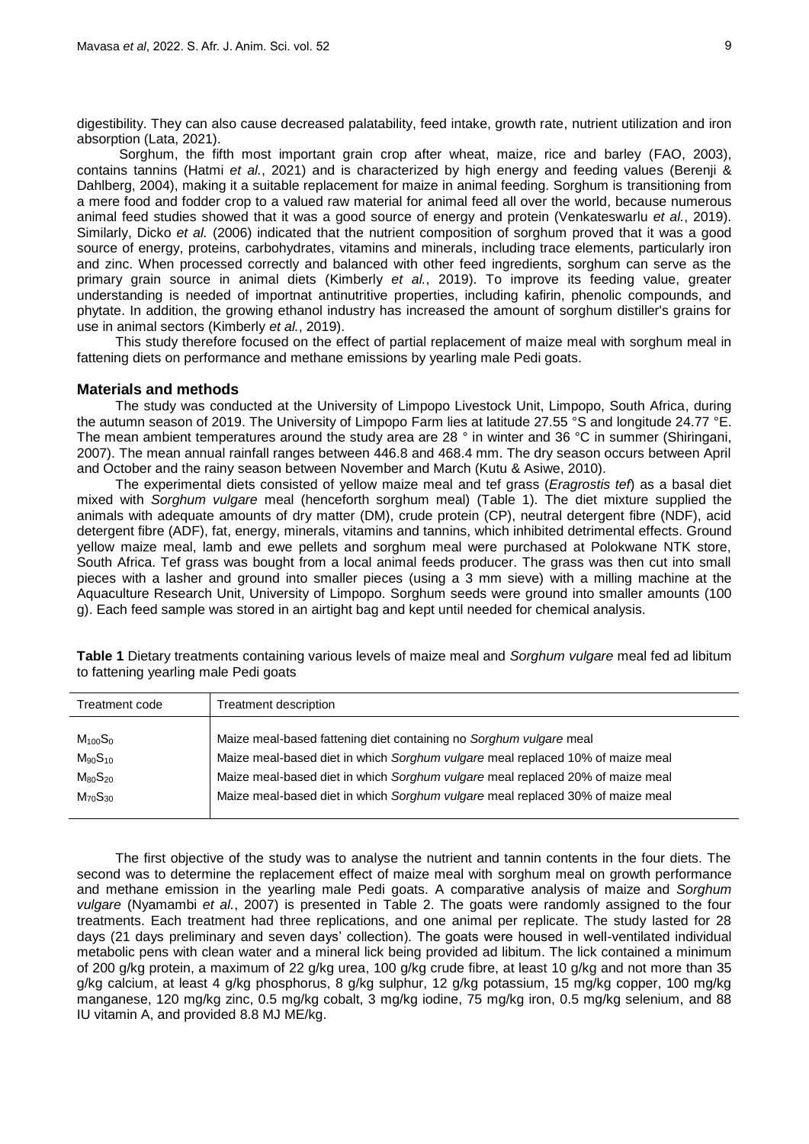digestibility. They can also cause decreased palatability, feed intake, growth rate, nutrient utilization and iron absorption (Lata, 2021).

Sorghum, the fifth most important grain crop after wheat, maize, rice and barley (FAO, 2003), contains tannins (Hatmi *et al.*, 2021) and is characterized by high energy and feeding values (Berenji & Dahlberg, 2004), making it a suitable replacement for maize in animal feeding. Sorghum is transitioning from a mere food and fodder crop to a valued raw material for animal feed all over the world, because numerous animal feed studies showed that it was a good source of energy and protein (Venkateswarlu *et al.*, 2019). Similarly, Dicko *et al.* (2006) indicated that the nutrient composition of sorghum proved that it was a good source of energy, proteins, carbohydrates, vitamins and minerals, including trace elements, particularly iron and zinc. When processed correctly and balanced with other feed ingredients, sorghum can serve as the primary grain source in animal diets (Kimberly *et al.*, 2019). To improve its feeding value, greater understanding is needed of importnat antinutritive properties, including kafirin, phenolic compounds, and phytate. In addition, the growing ethanol industry has increased the amount of sorghum distiller's grains for use in animal sectors (Kimberly *et al.*, 2019).

This study therefore focused on the effect of partial replacement of maize meal with sorghum meal in fattening diets on performance and methane emissions by yearling male Pedi goats.

### **Materials and methods**

The study was conducted at the University of Limpopo Livestock Unit, Limpopo, South Africa, during the autumn season of 2019. The University of Limpopo Farm lies at latitude 27.55 °S and longitude 24.77 °E. The mean ambient temperatures around the study area are 28 ° in winter and 36 °C in summer (Shiringani, 2007). The mean annual rainfall ranges between 446.8 and 468.4 mm. The dry season occurs between April and October and the rainy season between November and March (Kutu & Asiwe, 2010).

The experimental diets consisted of yellow maize meal and tef grass (*Eragrostis tef*) as a basal diet mixed with *Sorghum vulgare* meal (henceforth sorghum meal) (Table 1). The diet mixture supplied the animals with adequate amounts of dry matter (DM), crude protein (CP), neutral detergent fibre (NDF), acid detergent fibre (ADF), fat, energy, minerals, vitamins and tannins, which inhibited detrimental effects. Ground yellow maize meal, lamb and ewe pellets and sorghum meal were purchased at Polokwane NTK store, South Africa. Tef grass was bought from a local animal feeds producer. The grass was then cut into small pieces with a lasher and ground into smaller pieces (using a 3 mm sieve) with a milling machine at the Aquaculture Research Unit, University of Limpopo. Sorghum seeds were ground into smaller amounts (100 g). Each feed sample was stored in an airtight bag and kept until needed for chemical analysis.

| Treatment code | Treatment description                                                          |
|----------------|--------------------------------------------------------------------------------|
| $M_{100}S_0$   | Maize meal-based fattening diet containing no Sorghum vulgare meal             |
| $M_{90}S_{10}$ | Maize meal-based diet in which Sorghum vulgare meal replaced 10% of maize meal |
| $M_{80}S_{20}$ | Maize meal-based diet in which Sorghum vulgare meal replaced 20% of maize meal |
| $M_{70}S_{30}$ | Maize meal-based diet in which Sorghum vulgare meal replaced 30% of maize meal |
|                |                                                                                |

**Table 1** Dietary treatments containing various levels of maize meal and *Sorghum vulgare* meal fed ad libitum to fattening yearling male Pedi goats

The first objective of the study was to analyse the nutrient and tannin contents in the four diets. The second was to determine the replacement effect of maize meal with sorghum meal on growth performance and methane emission in the yearling male Pedi goats. A comparative analysis of maize and *Sorghum vulgare* (Nyamambi *et al.*, 2007) is presented in Table 2. The goats were randomly assigned to the four treatments. Each treatment had three replications, and one animal per replicate. The study lasted for 28 days (21 days preliminary and seven days' collection). The goats were housed in well-ventilated individual metabolic pens with clean water and a mineral lick being provided ad libitum. The lick contained a minimum of 200 g/kg protein, a maximum of 22 g/kg urea, 100 g/kg crude fibre, at least 10 g/kg and not more than 35 g/kg calcium, at least 4 g/kg phosphorus, 8 g/kg sulphur, 12 g/kg potassium, 15 mg/kg copper, 100 mg/kg manganese, 120 mg/kg zinc, 0.5 mg/kg cobalt, 3 mg/kg iodine, 75 mg/kg iron, 0.5 mg/kg selenium, and 88 IU vitamin A, and provided 8.8 MJ ME/kg.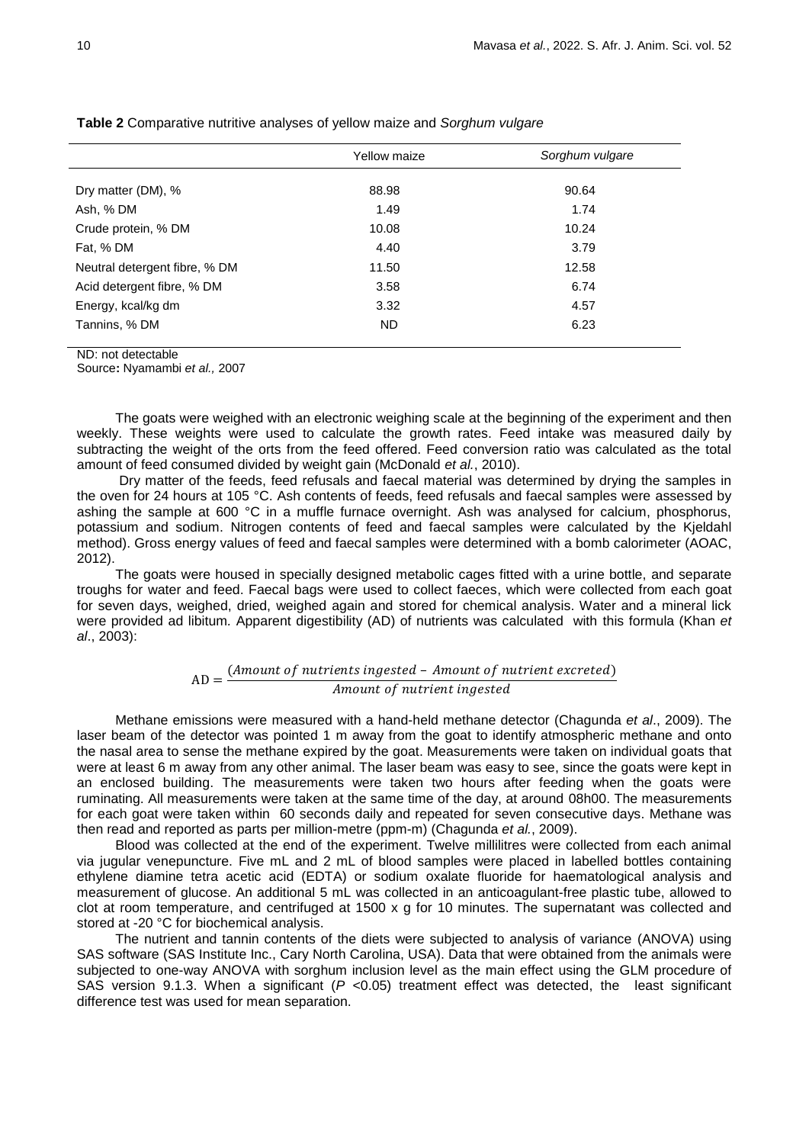|                               | <b>Yellow maize</b> | Sorghum vulgare |  |  |
|-------------------------------|---------------------|-----------------|--|--|
| Dry matter (DM), %            | 88.98               | 90.64           |  |  |
|                               |                     |                 |  |  |
| Ash, % DM                     | 1.49                | 1.74            |  |  |
| Crude protein, % DM           | 10.08               | 10.24           |  |  |
| Fat, % DM                     | 4.40                | 3.79            |  |  |
| Neutral detergent fibre, % DM | 11.50               | 12.58           |  |  |
| Acid detergent fibre, % DM    | 3.58                | 6.74            |  |  |
| Energy, kcal/kg dm            | 3.32                | 4.57            |  |  |
| Tannins, % DM                 | <b>ND</b>           | 6.23            |  |  |
|                               |                     |                 |  |  |

**Table 2** Comparative nutritive analyses of yellow maize and *Sorghum vulgare*

ND: not detectable

Source**:** Nyamambi *et al.,* 2007

The goats were weighed with an electronic weighing scale at the beginning of the experiment and then weekly. These weights were used to calculate the growth rates. Feed intake was measured daily by subtracting the weight of the orts from the feed offered. Feed conversion ratio was calculated as the total amount of feed consumed divided by weight gain (McDonald *et al.*, 2010).

Dry matter of the feeds, feed refusals and faecal material was determined by drying the samples in the oven for 24 hours at 105 °C. Ash contents of feeds, feed refusals and faecal samples were assessed by ashing the sample at 600 °C in a muffle furnace overnight. Ash was analysed for calcium, phosphorus, potassium and sodium. Nitrogen contents of feed and faecal samples were calculated by the Kjeldahl method). Gross energy values of feed and faecal samples were determined with a bomb calorimeter (AOAC, 2012).

The goats were housed in specially designed metabolic cages fitted with a urine bottle, and separate troughs for water and feed. Faecal bags were used to collect faeces, which were collected from each goat for seven days, weighed, dried, weighed again and stored for chemical analysis. Water and a mineral lick were provided ad libitum*.* Apparent digestibility (AD) of nutrients was calculated with this formula (Khan *et al*., 2003):

## $AD = \frac{C}{A}$  $\overline{A}$

Methane emissions were measured with a hand-held methane detector (Chagunda *et al*., 2009). The laser beam of the detector was pointed 1 m away from the goat to identify atmospheric methane and onto the nasal area to sense the methane expired by the goat. Measurements were taken on individual goats that were at least 6 m away from any other animal. The laser beam was easy to see, since the goats were kept in an enclosed building. The measurements were taken two hours after feeding when the goats were ruminating. All measurements were taken at the same time of the day, at around 08h00. The measurements for each goat were taken within 60 seconds daily and repeated for seven consecutive days. Methane was then read and reported as parts per million-metre (ppm-m) (Chagunda *et al.*, 2009).

Blood was collected at the end of the experiment. Twelve millilitres were collected from each animal via jugular venepuncture. Five mL and 2 mL of blood samples were placed in labelled bottles containing ethylene diamine tetra acetic acid (EDTA) or sodium oxalate fluoride for haematological analysis and measurement of glucose. An additional 5 mL was collected in an anticoagulant-free plastic tube, allowed to clot at room temperature, and centrifuged at 1500 x g for 10 minutes. The supernatant was collected and stored at -20 °C for biochemical analysis.

The nutrient and tannin contents of the diets were subjected to analysis of variance (ANOVA) using SAS software (SAS Institute Inc., Cary North Carolina, USA). Data that were obtained from the animals were subjected to one-way ANOVA with sorghum inclusion level as the main effect using the GLM procedure of SAS version 9.1.3. When a significant (*P* <0.05) treatment effect was detected, the least significant difference test was used for mean separation.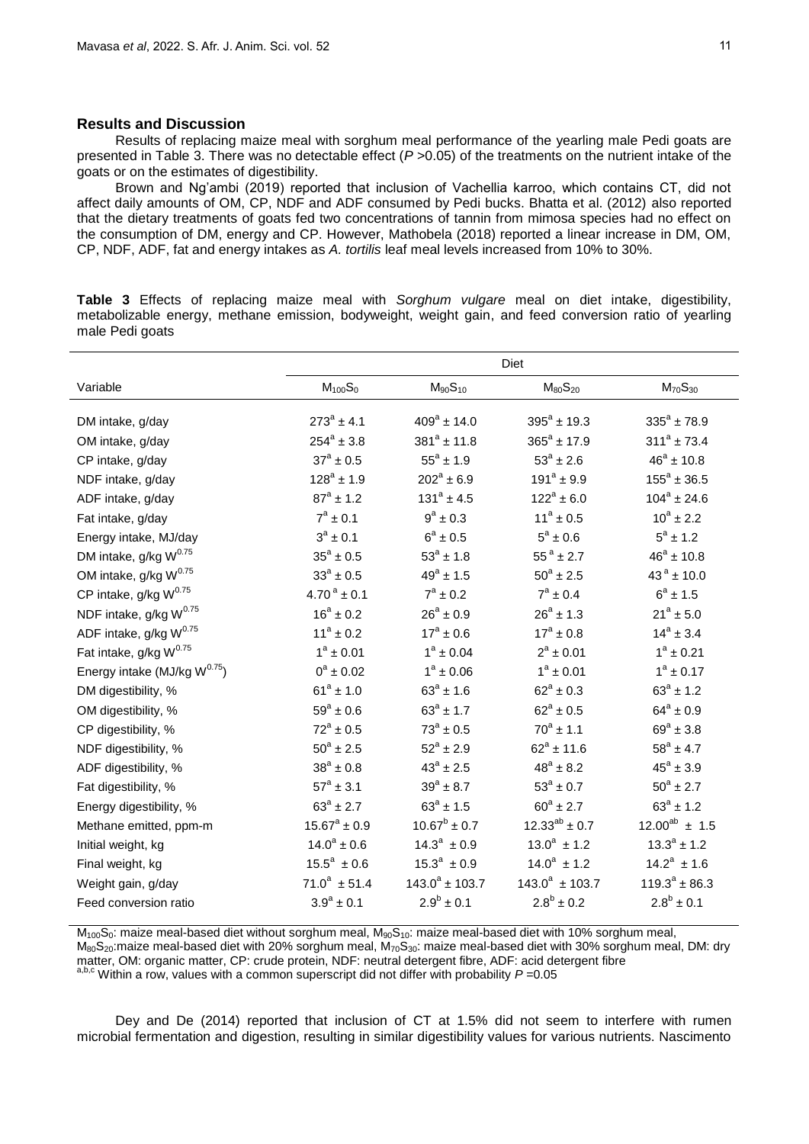### **Results and Discussion**

Results of replacing maize meal with sorghum meal performance of the yearling male Pedi goats are presented in Table 3. There was no detectable effect (*P* >0.05) of the treatments on the nutrient intake of the goats or on the estimates of digestibility.

Brown and Ng'ambi (2019) reported that inclusion of Vachellia karroo, which contains CT, did not affect daily amounts of OM, CP, NDF and ADF consumed by Pedi bucks. Bhatta et al. (2012) also reported that the dietary treatments of goats fed two concentrations of tannin from mimosa species had no effect on the consumption of DM, energy and CP. However, Mathobela (2018) reported a linear increase in DM, OM, CP, NDF, ADF, fat and energy intakes as *A. tortilis* leaf meal levels increased from 10% to 30%.

**Table 3** Effects of replacing maize meal with *Sorghum vulgare* meal on diet intake, digestibility, metabolizable energy, methane emission, bodyweight, weight gain, and feed conversion ratio of yearling male Pedi goats

|                                    | Diet                      |                      |                      |                       |  |
|------------------------------------|---------------------------|----------------------|----------------------|-----------------------|--|
| Variable                           | $M_{100}S_{0}$            | $M_{90}S_{10}$       | $M_{80}S_{20}$       | $M_{70}S_{30}$        |  |
| DM intake, g/day                   | $273^a \pm 4.1$           | $409^a \pm 14.0$     | $395^a \pm 19.3$     | $335^{\circ}$ ± 78.9  |  |
| OM intake, g/day                   | $254^a \pm 3.8$           | $381^a \pm 11.8$     | $365^a \pm 17.9$     | $311^a \pm 73.4$      |  |
| CP intake, g/day                   | $37^{\rm a} \pm 0.5$      | $55^a \pm 1.9$       | $53^{\circ} \pm 2.6$ | $46^a \pm 10.8$       |  |
| NDF intake, g/day                  | $128^a \pm 1.9$           | $202^a \pm 6.9$      | $191^a \pm 9.9$      | $155^a \pm 36.5$      |  |
| ADF intake, g/day                  | $87^a \pm 1.2$            | $131^a \pm 4.5$      | $122^a \pm 6.0$      | $104^a \pm 24.6$      |  |
| Fat intake, g/day                  | $7^a \pm 0.1$             | $9^a \pm 0.3$        | $11^a \pm 0.5$       | $10^a \pm 2.2$        |  |
| Energy intake, MJ/day              | $3^a \pm 0.1$             | $6^a \pm 0.5$        | $5^a \pm 0.6$        | $5^a \pm 1.2$         |  |
| DM intake, g/kg W <sup>0.75</sup>  | $35^{\circ} \pm 0.5$      | $53^{\circ} \pm 1.8$ | $55^{\circ}$ ± 2.7   | $46^a \pm 10.8$       |  |
| OM intake, g/kg W <sup>0.75</sup>  | $33^{\circ} \pm 0.5$      | $49^a \pm 1.5$       | $50^{\circ} \pm 2.5$ | $43^{\circ} \pm 10.0$ |  |
| CP intake, g/kg W <sup>0.75</sup>  | $4.70^{\text{a}} \pm 0.1$ | $7^a \pm 0.2$        | $7^a \pm 0.4$        | $6^a \pm 1.5$         |  |
| NDF intake, g/kg W <sup>0.75</sup> | $16^a \pm 0.2$            | $26^a \pm 0.9$       | $26^a \pm 1.3$       | $21^a \pm 5.0$        |  |
| ADF intake, g/kg W <sup>0.75</sup> | $11^a \pm 0.2$            | $17^a \pm 0.6$       | $17^a \pm 0.8$       | $14^a \pm 3.4$        |  |
| Fat intake, g/kg W <sup>0.75</sup> | $1^a \pm 0.01$            | $1^a \pm 0.04$       | $2^a \pm 0.01$       | $1^a \pm 0.21$        |  |
| Energy intake (MJ/kg $W^{0.75}$ )  | $0^a \pm 0.02$            | $1^a \pm 0.06$       | $1^a \pm 0.01$       | $1^a \pm 0.17$        |  |
| DM digestibility, %                | $61^a \pm 1.0$            | $63^a \pm 1.6$       | $62^a \pm 0.3$       | $63^a \pm 1.2$        |  |
| OM digestibility, %                | $59^{\circ} \pm 0.6$      | $63^a \pm 1.7$       | $62^a \pm 0.5$       | $64^a \pm 0.9$        |  |
| CP digestibility, %                | $72^a \pm 0.5$            | $73^a \pm 0.5$       | $70^a \pm 1.1$       | $69^a \pm 3.8$        |  |
| NDF digestibility, %               | $50^{\circ} \pm 2.5$      | $52^a \pm 2.9$       | $62^a \pm 11.6$      | $58^a \pm 4.7$        |  |
| ADF digestibility, %               | $38^a \pm 0.8$            | $43^{\circ} \pm 2.5$ | $48^a \pm 8.2$       | $45^{\circ} \pm 3.9$  |  |
| Fat digestibility, %               | $57^{\circ} \pm 3.1$      | $39^{a} \pm 8.7$     | $53^{\circ} \pm 0.7$ | $50^a \pm 2.7$        |  |
| Energy digestibility, %            | $63^a \pm 2.7$            | $63^a \pm 1.5$       | $60^a \pm 2.7$       | $63^a \pm 1.2$        |  |
| Methane emitted, ppm-m             | $15.67^a \pm 0.9$         | $10.67^b \pm 0.7$    | $12.33^{ab} \pm 0.7$ | $12.00^{ab} \pm 1.5$  |  |
| Initial weight, kg                 | $14.0^a \pm 0.6$          | $14.3^a \pm 0.9$     | $13.0^a \pm 1.2$     | $13.3^a \pm 1.2$      |  |
| Final weight, kg                   | $15.5^a \pm 0.6$          | $15.3^a \pm 0.9$     | $14.0^a \pm 1.2$     | $14.2^a \pm 1.6$      |  |
| Weight gain, g/day                 | $71.0^a \pm 51.4$         | $143.0^a \pm 103.7$  | $143.0^a \pm 103.7$  | $119.3^a \pm 86.3$    |  |
| Feed conversion ratio              | $3.9^a \pm 0.1$           | $2.9^b \pm 0.1$      | $2.8^b \pm 0.2$      | $2.8^b \pm 0.1$       |  |

 $M_{100}S_0$ : maize meal-based diet without sorghum meal,  $M_{90}S_{10}$ : maize meal-based diet with 10% sorghum meal,  $M_{80}S_{20}$ :maize meal-based diet with 20% sorghum meal,  $M_{70}S_{30}$ : maize meal-based diet with 30% sorghum meal, DM: dry matter, OM: organic matter, CP: crude protein, NDF: neutral detergent fibre, ADF: acid detergent fibre a,b,c Within a row, values with a common superscript did not differ with probability *P* =0.05

Dey and De (2014) reported that inclusion of CT at 1.5% did not seem to interfere with rumen microbial fermentation and digestion, resulting in similar digestibility values for various nutrients. Nascimento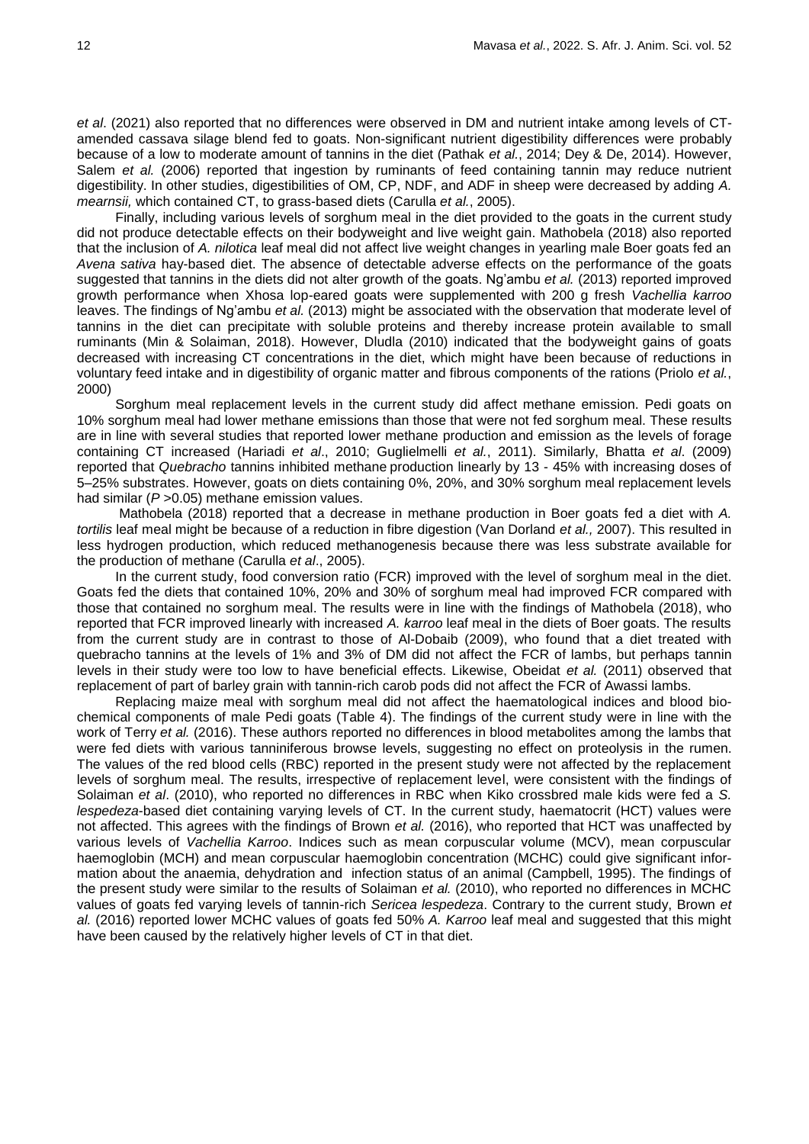*et al*. (2021) also reported that no differences were observed in DM and nutrient intake among levels of CTamended cassava silage blend fed to goats. Non-significant nutrient digestibility differences were probably because of a low to moderate amount of tannins in the diet (Pathak *et al.*, 2014; Dey & De, 2014). However, Salem *et al.* (2006) reported that ingestion by ruminants of feed containing tannin may reduce nutrient digestibility. In other studies, digestibilities of OM, CP, NDF, and ADF in sheep were decreased by adding *A. mearnsii,* which contained CT, to grass-based diets (Carulla *et al.*, 2005).

Finally, including various levels of sorghum meal in the diet provided to the goats in the current study did not produce detectable effects on their bodyweight and live weight gain. Mathobela (2018) also reported that the inclusion of *A. nilotica* leaf meal did not affect live weight changes in yearling male Boer goats fed an *Avena sativa* hay-based diet. The absence of detectable adverse effects on the performance of the goats suggested that tannins in the diets did not alter growth of the goats. Ng'ambu *et al.* (2013) reported improved growth performance when Xhosa lop-eared goats were supplemented with 200 g fresh *Vachellia karroo* leaves. The findings of Ng'ambu *et al.* (2013) might be associated with the observation that moderate level of tannins in the diet can precipitate with soluble proteins and thereby increase protein available to small ruminants (Min & Solaiman, 2018). However, Dludla (2010) indicated that the bodyweight gains of goats decreased with increasing CT concentrations in the diet, which might have been because of reductions in voluntary feed intake and in digestibility of organic matter and fibrous components of the rations (Priolo *et al.*, 2000)

Sorghum meal replacement levels in the current study did affect methane emission. Pedi goats on 10% sorghum meal had lower methane emissions than those that were not fed sorghum meal. These results are in line with several studies that reported lower methane production and emission as the levels of forage containing CT increased (Hariadi *et al*., 2010; Guglielmelli *et al.*, 2011). Similarly, Bhatta *et al*. (2009) reported that *Quebracho* tannins inhibited methane production linearly by 13 - 45% with increasing doses of 5–25% substrates. However, goats on diets containing 0%, 20%, and 30% sorghum meal replacement levels had similar (*P* >0.05) methane emission values.

Mathobela (2018) reported that a decrease in methane production in Boer goats fed a diet with *A. tortilis* leaf meal might be because of a reduction in fibre digestion (Van Dorland *et al.,* 2007). This resulted in less hydrogen production, which reduced methanogenesis because there was less substrate available for the production of methane (Carulla *et al*., 2005).

In the current study, food conversion ratio (FCR) improved with the level of sorghum meal in the diet. Goats fed the diets that contained 10%, 20% and 30% of sorghum meal had improved FCR compared with those that contained no sorghum meal. The results were in line with the findings of Mathobela (2018), who reported that FCR improved linearly with increased *A. karroo* leaf meal in the diets of Boer goats. The results from the current study are in contrast to those of Al-Dobaib (2009), who found that a diet treated with quebracho tannins at the levels of 1% and 3% of DM did not affect the FCR of lambs, but perhaps tannin levels in their study were too low to have beneficial effects. Likewise, Obeidat *et al.* (2011) observed that replacement of part of barley grain with tannin-rich carob pods did not affect the FCR of Awassi lambs.

Replacing maize meal with sorghum meal did not affect the haematological indices and blood biochemical components of male Pedi goats (Table 4). The findings of the current study were in line with the work of Terry *et al.* (2016). These authors reported no differences in blood metabolites among the lambs that were fed diets with various tanniniferous browse levels, suggesting no effect on proteolysis in the rumen. The values of the red blood cells (RBC) reported in the present study were not affected by the replacement levels of sorghum meal. The results, irrespective of replacement level, were consistent with the findings of Solaiman *et al*. (2010), who reported no differences in RBC when Kiko crossbred male kids were fed a *S. lespedeza*-based diet containing varying levels of CT. In the current study, haematocrit (HCT) values were not affected. This agrees with the findings of Brown *et al.* (2016), who reported that HCT was unaffected by various levels of *Vachellia Karroo*. Indices such as mean corpuscular volume (MCV), mean corpuscular haemoglobin (MCH) and mean corpuscular haemoglobin concentration (MCHC) could give significant information about the anaemia, dehydration and infection status of an animal (Campbell, 1995). The findings of the present study were similar to the results of Solaiman *et al.* (2010), who reported no differences in MCHC values of goats fed varying levels of tannin-rich *Sericea lespedeza*. Contrary to the current study, Brown *et al.* (2016) reported lower MCHC values of goats fed 50% *A. Karroo* leaf meal and suggested that this might have been caused by the relatively higher levels of CT in that diet.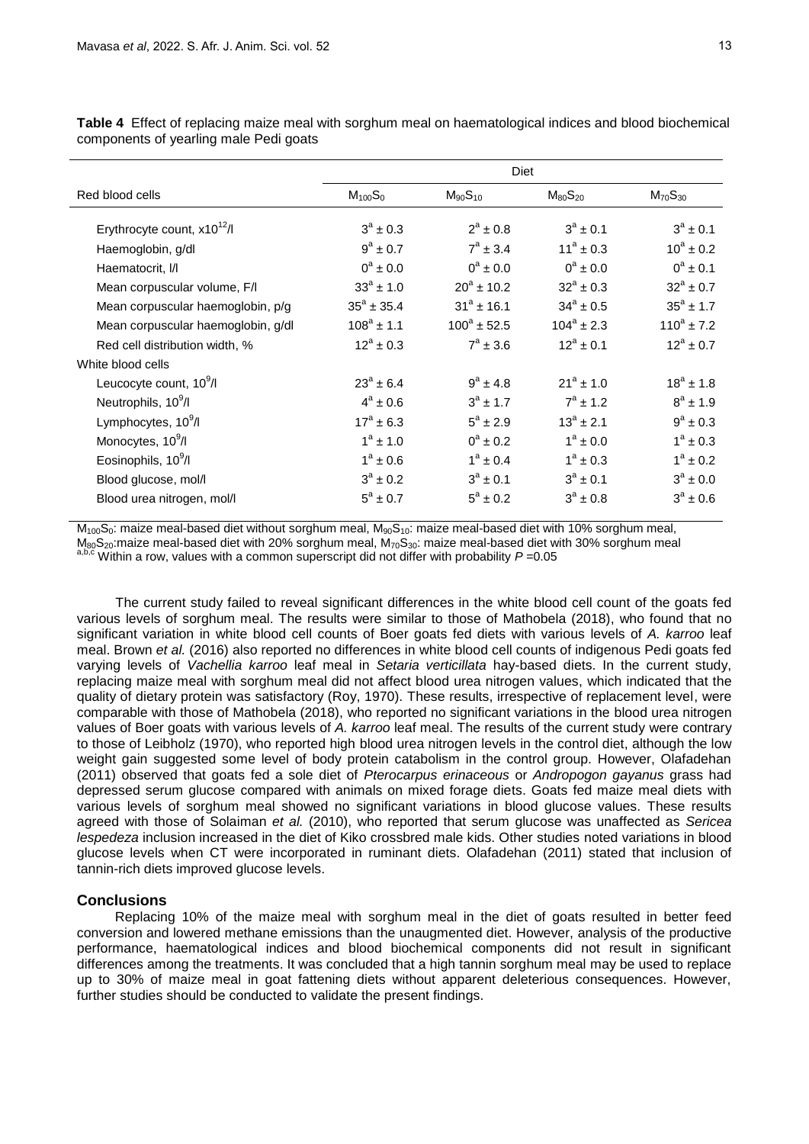|                                     | Diet                 |                  |                      |                 |
|-------------------------------------|----------------------|------------------|----------------------|-----------------|
| Red blood cells                     | $M_{100}S_{0}$       | $M_{90}S_{10}$   | $M_{80}S_{20}$       | $M_{70}S_{30}$  |
| Erythrocyte count, $x10^{12}/I$     | $3^a \pm 0.3$        | $2^a \pm 0.8$    | $3^a \pm 0.1$        | $3^a \pm 0.1$   |
| Haemoglobin, g/dl                   | $9^a \pm 0.7$        | $7^a \pm 3.4$    | $11^a \pm 0.3$       | $10^a \pm 0.2$  |
| Haematocrit, I/I                    | $0^a \pm 0.0$        | $0^a \pm 0.0$    | $0^a \pm 0.0$        | $0^a \pm 0.1$   |
| Mean corpuscular volume, F/I        | $33^a \pm 1.0$       | $20^a \pm 10.2$  | $32^a \pm 0.3$       | $32^a \pm 0.7$  |
| Mean corpuscular haemoglobin, p/g   | $35^a \pm 35.4$      | $31^a \pm 16.1$  | $34^{\circ} \pm 0.5$ | $35^a \pm 1.7$  |
| Mean corpuscular haemoglobin, g/dl  | $108^a \pm 1.1$      | $100^a \pm 52.5$ | $104^a \pm 2.3$      | $110^a \pm 7.2$ |
| Red cell distribution width, %      | $12^a \pm 0.3$       | $7^a \pm 3.6$    | $12^a \pm 0.1$       | $12^a \pm 0.7$  |
| White blood cells                   |                      |                  |                      |                 |
| Leucocyte count, 10 <sup>9</sup> /l | $23^a \pm 6.4$       | $9^a \pm 4.8$    | $21^a \pm 1.0$       | $18^a \pm 1.8$  |
| Neutrophils, 10 <sup>9</sup> /l     | $4^a \pm 0.6$        | $3^a \pm 1.7$    | $7^a \pm 1.2$        | $8^a \pm 1.9$   |
| Lymphocytes, 10 <sup>9</sup> /l     | $17^{\circ} \pm 6.3$ | $5^a \pm 2.9$    | $13^a \pm 2.1$       | $9^a \pm 0.3$   |
| Monocytes, 10 <sup>9</sup> /l       | $1^a \pm 1.0$        | $0^a \pm 0.2$    | $1^a \pm 0.0$        | $1^a \pm 0.3$   |
| Eosinophils, 10 <sup>9</sup> /l     | $1^a \pm 0.6$        | $1^a \pm 0.4$    | $1^a \pm 0.3$        | $1^a \pm 0.2$   |
| Blood glucose, mol/l                | $3^a \pm 0.2$        | $3^a$ + 0.1      | $3^a$ + 0.1          | $3^a \pm 0.0$   |
| Blood urea nitrogen, mol/l          | $5^{\circ} \pm 0.7$  | $5^a \pm 0.2$    | $3^a \pm 0.8$        | $3^a \pm 0.6$   |

**Table 4** Effect of replacing maize meal with sorghum meal on haematological indices and blood biochemical components of yearling male Pedi goats

M<sub>100</sub>S<sub>0</sub>: maize meal-based diet without sorghum meal, M<sub>90</sub>S<sub>10</sub>: maize meal-based diet with 10% sorghum meal,  $M_{80}S_{20}$ :maize meal-based diet with 20% sorghum meal,  $M_{70}S_{30}$ : maize meal-based diet with 30% sorghum meal  $a,b,c$  Within a row, values with a common superscript did not differ with probability  $P = 0.05$ 

The current study failed to reveal significant differences in the white blood cell count of the goats fed various levels of sorghum meal. The results were similar to those of Mathobela (2018), who found that no significant variation in white blood cell counts of Boer goats fed diets with various levels of *A. karroo* leaf meal. Brown *et al.* (2016) also reported no differences in white blood cell counts of indigenous Pedi goats fed varying levels of *Vachellia karroo* leaf meal in *Setaria verticillata* hay-based diets. In the current study, replacing maize meal with sorghum meal did not affect blood urea nitrogen values, which indicated that the quality of dietary protein was satisfactory (Roy, 1970). These results, irrespective of replacement level, were comparable with those of Mathobela (2018), who reported no significant variations in the blood urea nitrogen values of Boer goats with various levels of *A. karroo* leaf meal. The results of the current study were contrary to those of Leibholz (1970), who reported high blood urea nitrogen levels in the control diet, although the low weight gain suggested some level of body protein catabolism in the control group. However, Olafadehan (2011) observed that goats fed a sole diet of *Pterocarpus erinaceous* or *Andropogon gayanus* grass had depressed serum glucose compared with animals on mixed forage diets. Goats fed maize meal diets with various levels of sorghum meal showed no significant variations in blood glucose values. These results agreed with those of Solaiman *et al.* (2010), who reported that serum glucose was unaffected as *Sericea lespedeza* inclusion increased in the diet of Kiko crossbred male kids. Other studies noted variations in blood glucose levels when CT were incorporated in ruminant diets. Olafadehan (2011) stated that inclusion of tannin-rich diets improved glucose levels.

### **Conclusions**

Replacing 10% of the maize meal with sorghum meal in the diet of goats resulted in better feed conversion and lowered methane emissions than the unaugmented diet. However, analysis of the productive performance, haematological indices and blood biochemical components did not result in significant differences among the treatments. It was concluded that a high tannin sorghum meal may be used to replace up to 30% of maize meal in goat fattening diets without apparent deleterious consequences. However, further studies should be conducted to validate the present findings.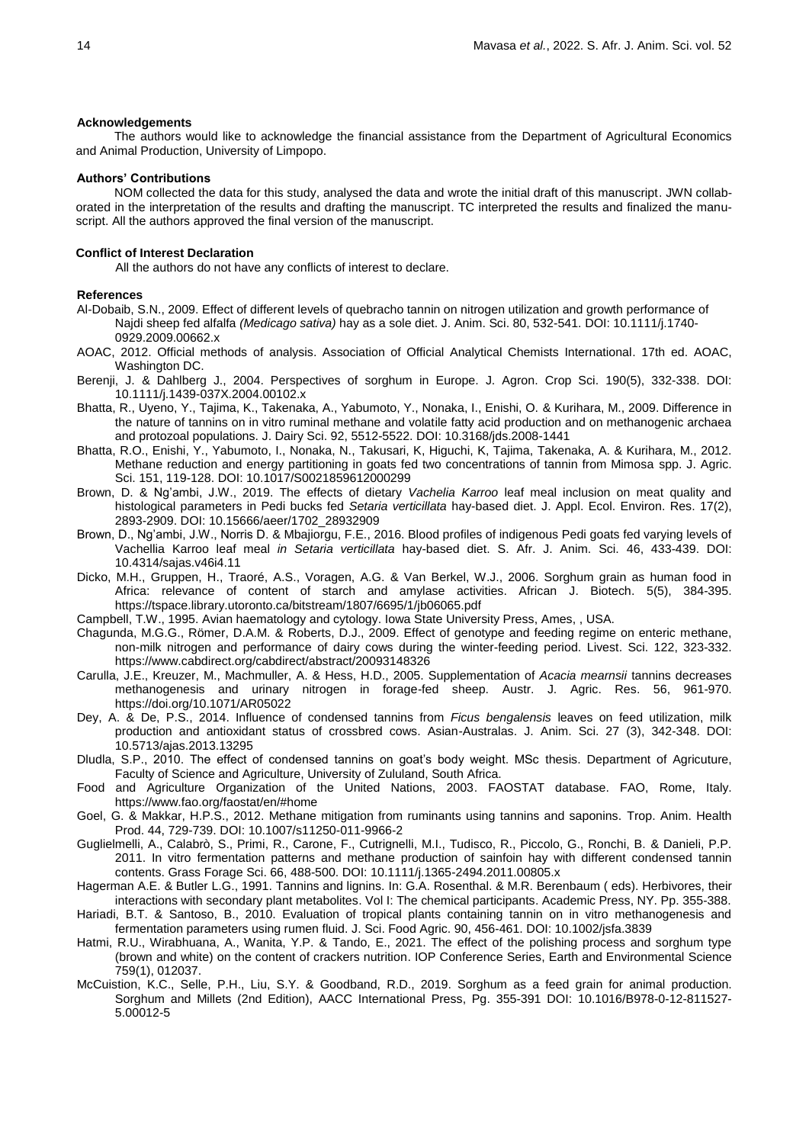#### **Acknowledgements**

The authors would like to acknowledge the financial assistance from the Department of Agricultural Economics and Animal Production, University of Limpopo.

#### **Authors' Contributions**

NOM collected the data for this study, analysed the data and wrote the initial draft of this manuscript. JWN collaborated in the interpretation of the results and drafting the manuscript. TC interpreted the results and finalized the manuscript. All the authors approved the final version of the manuscript.

#### **Conflict of Interest Declaration**

All the authors do not have any conflicts of interest to declare.

#### **References**

- Al-Dobaib, S.N., 2009. Effect of different levels of quebracho tannin on nitrogen utilization and growth performance of Najdi sheep fed alfalfa *(Medicago sativa)* hay as a sole diet. J. Anim. Sci. 80, 532-541. DOI: 10.1111/j.1740- 0929.2009.00662.x
- AOAC, 2012. Official methods of analysis. Association of Official Analytical Chemists International. 17th ed. AOAC, Washington DC.
- Berenji, J. & Dahlberg J., 2004. Perspectives of sorghum in Europe. J. Agron. Crop Sci. 190(5), 332-338. DOI: 10.1111/j.1439-037X.2004.00102.x
- Bhatta, R., Uyeno, Y., Tajima, K., Takenaka, A., Yabumoto, Y., Nonaka, I., Enishi, O. & Kurihara, M., 2009. Difference in the nature of tannins on in vitro ruminal methane and volatile fatty acid production and on methanogenic archaea and protozoal populations. J. Dairy Sci. 92, 5512-5522. DOI: 10.3168/jds.2008-1441
- Bhatta, R.O., Enishi, Y., Yabumoto, I., Nonaka, N., Takusari, K, Higuchi, K, Tajima, Takenaka, A. & Kurihara, M., 2012. Methane reduction and energy partitioning in goats fed two concentrations of tannin from Mimosa spp. J. Agric. Sci. 151, 119-128. DOI: 10.1017/S0021859612000299
- Brown, D. & Ng'ambi, J.W., 2019. The effects of dietary *Vachelia Karroo* leaf meal inclusion on meat quality and histological parameters in Pedi bucks fed *Setaria verticillata* hay-based diet. J. Appl. Ecol. Environ. Res. 17(2), 2893-2909. DOI: 10.15666/aeer/1702\_28932909
- Brown, D., Ng'ambi, J.W., Norris D. & Mbajiorgu, F.E., 2016. Blood profiles of indigenous Pedi goats fed varying levels of Vachellia Karroo leaf meal *in Setaria verticillata* hay-based diet. S. Afr. J. Anim. Sci. 46, 433-439. DOI: 10.4314/sajas.v46i4.11
- Dicko, M.H., Gruppen, H., Traoré, A.S., Voragen, A.G. & Van Berkel, W.J., 2006. Sorghum grain as human food in Africa: relevance of content of starch and amylase activities. African J. Biotech. 5(5), 384-395. https://tspace.library.utoronto.ca/bitstream/1807/6695/1/jb06065.pdf
- Campbell, T.W., 1995. Avian haematology and cytology. Iowa State University Press, Ames, , USA.
- Chagunda, M.G.G., Römer, D.A.M. & Roberts, D.J., 2009. Effect of genotype and feeding regime on enteric methane, non-milk nitrogen and performance of dairy cows during the winter-feeding period. Livest. Sci. 122, 323-332. https://www.cabdirect.org/cabdirect/abstract/20093148326
- Carulla, J.E., Kreuzer, M., Machmuller, A. & Hess, H.D., 2005. Supplementation of *Acacia mearnsii* tannins decreases methanogenesis and urinary nitrogen in forage-fed sheep. Austr. J. Agric. Res. 56, 961-970. https://doi.org/10.1071/AR05022
- Dey, A. & De, P.S., 2014. Influence of condensed tannins from *Ficus bengalensis* leaves on feed utilization, milk production and antioxidant status of crossbred cows. Asian-Australas. J. Anim. Sci. 27 (3), 342-348. DOI: 10.5713/ajas.2013.13295
- Dludla, S.P., 2010. The effect of condensed tannins on goat's body weight. MSc thesis. Department of Agricuture, Faculty of Science and Agriculture, University of Zululand, South Africa.
- Food and Agriculture Organization of the United Nations, 2003. FAOSTAT database. FAO, Rome, Italy. https://www.fao.org/faostat/en/#home
- Goel, G. & Makkar, H.P.S., 2012. Methane mitigation from ruminants using tannins and saponins. Trop. Anim. Health Prod. 44, 729-739. DOI: 10.1007/s11250-011-9966-2
- Guglielmelli, A., Calabrò, S., Primi, R., Carone, F., Cutrignelli, M.I., Tudisco, R., Piccolo, G., Ronchi, B. & Danieli, P.P. 2011. In vitro fermentation patterns and methane production of sainfoin hay with different condensed tannin contents. Grass Forage Sci. 66, 488-500. DOI: 10.1111/j.1365-2494.2011.00805.x
- Hagerman A.E. & Butler L.G., 1991. Tannins and lignins. In: G.A. Rosenthal. & M.R. Berenbaum ( eds). Herbivores, their interactions with secondary plant metabolites. Vol I: The chemical participants. Academic Press, NY. Pp. 355-388.
- Hariadi, B.T. & Santoso, B., 2010. Evaluation of tropical plants containing tannin on in vitro methanogenesis and fermentation parameters using rumen fluid. J. Sci. Food Agric. 90, 456-461. DOI: 10.1002/jsfa.3839
- Hatmi, R.U., Wirabhuana, A., Wanita, Y.P. & Tando, E., 2021. The effect of the polishing process and sorghum type (brown and white) on the content of crackers nutrition. IOP Conference Series, Earth and Environmental Science 759(1), 012037.
- McCuistion, K.C., Selle, P.H., Liu, S.Y. & Goodband, R.D., 2019. Sorghum as a feed grain for animal production. Sorghum and Millets (2nd Edition), AACC International Press, Pg. 355-391 DOI: 10.1016/B978-0-12-811527- 5.00012-5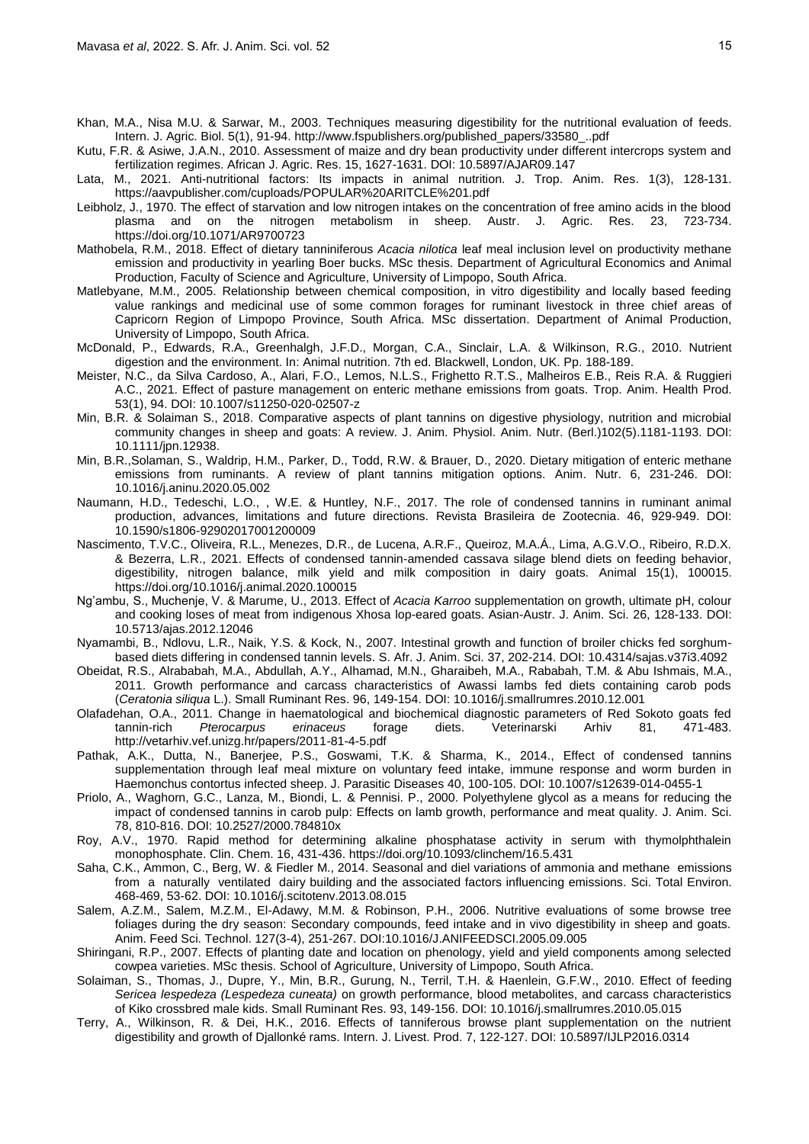- Khan, M.A., Nisa M.U. & Sarwar, M., 2003. Techniques measuring digestibility for the nutritional evaluation of feeds. Intern. J. Agric. Biol. 5(1), 91-94. http://www.fspublishers.org/published\_papers/33580\_..pdf
- Kutu, F.R. & Asiwe, J.A.N., 2010. Assessment of maize and dry bean productivity under different intercrops system and fertilization regimes. African J. Agric. Res. 15, 1627-1631. DOI: 10.5897/AJAR09.147
- Lata, M., 2021. Anti-nutritional factors: Its impacts in animal nutrition. J. Trop. Anim. Res. 1(3), 128-131. https://aavpublisher.com/cuploads/POPULAR%20ARITCLE%201.pdf
- Leibholz, J., 1970. The effect of starvation and low nitrogen intakes on the concentration of free amino acids in the blood plasma and on the nitrogen metabolism in sheep. Austr. J. Agric. Res. 23, 723-734. https://doi.org/10.1071/AR9700723
- Mathobela, R.M., 2018. Effect of dietary tanniniferous *Acacia nilotica* leaf meal inclusion level on productivity methane emission and productivity in yearling Boer bucks. MSc thesis. Department of Agricultural Economics and Animal Production, Faculty of Science and Agriculture, University of Limpopo, South Africa.
- Matlebyane, M.M., 2005. Relationship between chemical composition, in vitro digestibility and locally based feeding value rankings and medicinal use of some common forages for ruminant livestock in three chief areas of Capricorn Region of Limpopo Province, South Africa. MSc dissertation. Department of Animal Production, University of Limpopo, South Africa.
- McDonald, P., Edwards, R.A., Greenhalgh, J.F.D., Morgan, C.A., Sinclair, L.A. & Wilkinson, R.G., 2010. Nutrient digestion and the environment. In: Animal nutrition. 7th ed. Blackwell, London, UK. Pp. 188-189.
- Meister, N.C., da Silva Cardoso, A., Alari, F.O., Lemos, N.L.S., Frighetto R.T.S., Malheiros E.B., Reis R.A. & Ruggieri A.C., 2021. Effect of pasture management on enteric methane emissions from goats. Trop. Anim. Health Prod. 53(1), 94. DOI: 10.1007/s11250-020-02507-z
- Min, B.R. & Solaiman S., 2018. Comparative aspects of plant tannins on digestive physiology, nutrition and microbial community changes in sheep and goats: A review. J. Anim. Physiol. Anim. Nutr. (Berl.)102(5).1181-1193. DOI: 10.1111/jpn.12938.
- Min, B.R.,Solaman, S., Waldrip, H.M., Parker, D., Todd, R.W. & Brauer, D., 2020. Dietary mitigation of enteric methane emissions from ruminants. A review of plant tannins mitigation options. Anim. Nutr. 6, 231-246. DOI: 10.1016/j.aninu.2020.05.002
- Naumann, H.D., Tedeschi, L.O., , W.E. & Huntley, N.F., 2017. The role of condensed tannins in ruminant animal production, advances, limitations and future directions. Revista Brasileira de Zootecnia. 46, 929-949. DOI: 10.1590/s1806-92902017001200009
- Nascimento, T.V.C., Oliveira, R.L., Menezes, D.R., de Lucena, A.R.F., Queiroz, M.A.Á., Lima, A.G.V.O., Ribeiro, R.D.X. & Bezerra, L.R., 2021. Effects of condensed tannin-amended cassava silage blend diets on feeding behavior, digestibility, nitrogen balance, milk yield and milk composition in dairy goats. Animal 15(1), 100015. https://doi.org/10.1016/j.animal.2020.100015
- Ng'ambu, S., Muchenje, V. & Marume, U., 2013. Effect of *Acacia Karroo* supplementation on growth, ultimate pH, colour and cooking loses of meat from indigenous Xhosa lop-eared goats. Asian-Austr. J. Anim. Sci. 26, 128-133. DOI: 10.5713/ajas.2012.12046
- Nyamambi, B., Ndlovu, L.R., Naik, Y.S. & Kock, N., 2007. Intestinal growth and function of broiler chicks fed sorghumbased diets differing in condensed tannin levels. S. Afr. J. Anim. Sci. 37, 202-214. DOI: 10.4314/sajas.v37i3.4092
- Obeidat, R.S., Alrababah, M.A., Abdullah, A.Y., Alhamad, M.N., Gharaibeh, M.A., Rababah, T.M. & Abu Ishmais, M.A., 2011. Growth performance and carcass characteristics of Awassi lambs fed diets containing carob pods (*Ceratonia siliqua* L.). Small Ruminant Res. 96, 149-154. DOI: 10.1016/j.smallrumres.2010.12.001
- Olafadehan, O.A., 2011. Change in haematological and biochemical diagnostic parameters of Red Sokoto goats fed tannin-rich *Pterocarpus erinaceus* forage diets. Veterinarski Arhiv 81, 471-483. http://vetarhiv.vef.unizg.hr/papers/2011-81-4-5.pdf
- Pathak, A.K., Dutta, N., Banerjee, P.S., Goswami, T.K. & Sharma, K., 2014., Effect of condensed tannins supplementation through leaf meal mixture on voluntary feed intake, immune response and worm burden in Haemonchus contortus infected sheep. J. Parasitic Diseases 40, 100-105. DOI: 10.1007/s12639-014-0455-1
- Priolo, A., Waghorn, G.C., Lanza, M., Biondi, L. & Pennisi. P., 2000. Polyethylene glycol as a means for reducing the impact of condensed tannins in carob pulp: Effects on lamb growth, performance and meat quality. J. Anim. Sci. 78, 810-816. DOI: 10.2527/2000.784810x
- Roy, A.V., 1970. Rapid method for determining alkaline phosphatase activity in serum with thymolphthalein monophosphate. Clin. Chem. 16, 431-436. https://doi.org/10.1093/clinchem/16.5.431
- Saha, C.K., Ammon, C., Berg, W. & Fiedler M., 2014. Seasonal and diel variations of ammonia and methane emissions from a naturally ventilated dairy building and the associated factors influencing emissions. Sci. Total Environ. 468-469, 53-62. DOI: 10.1016/j.scitotenv.2013.08.015
- Salem, A.Z.M., Salem, M.Z.M., El-Adawy, M.M. & Robinson, P.H., 2006. Nutritive evaluations of some browse tree foliages during the dry season: Secondary compounds, feed intake and in vivo digestibility in sheep and goats. Anim. Feed Sci. Technol. 127(3-4), 251-267. DOI:10.1016/J.ANIFEEDSCI.2005.09.005
- Shiringani, R.P., 2007. Effects of planting date and location on phenology, yield and yield components among selected cowpea varieties. MSc thesis. School of Agriculture, University of Limpopo, South Africa.
- Solaiman, S., Thomas, J., Dupre, Y., Min, B.R., Gurung, N., Terril, T.H. & Haenlein, G.F.W., 2010. Effect of feeding *Sericea lespedeza (Lespedeza cuneata)* on growth performance, blood metabolites, and carcass characteristics of Kiko crossbred male kids. Small Ruminant Res. 93, 149-156. DOI: 10.1016/j.smallrumres.2010.05.015
- Terry, A., Wilkinson, R. & Dei, H.K., 2016. Effects of tanniferous browse plant supplementation on the nutrient digestibility and growth of Djallonké rams. Intern. J. Livest. Prod. 7, 122-127. DOI: 10.5897/IJLP2016.0314